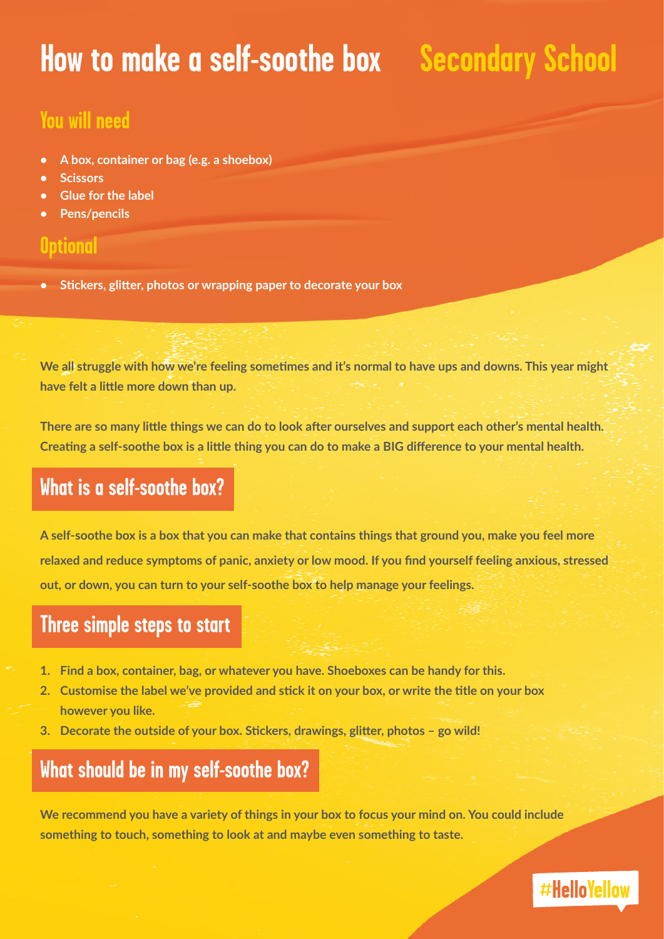## **How to make a self-soothe box | Secondary School**

#### **You will need**

- **• A box, container or bag (e.g. a shoebox)**
- **• Scissors**
- **• Glue for the label**
- **• Pens/pencils**

#### **Optional**

**• Stickers, glitter, photos or wrapping paper to decorate your box**

We all struggle with how we're feeling sometimes and it's normal to have ups and downs. This year might **have felt a little more down than up.**

**There are so many little things we can do to look after ourselves and support each other's mental health. Creating a self-soothe box is a little thing you can do to make a BIG difference to your mental health.**

### **What is a self-soothe box?**

**A self-soothe box is a box that you can make that contains things that ground you, make you feel more relaxed and reduce symptoms of panic, anxiety or low mood. If you find yourself feeling anxious, stressed out, or down, you can turn to your self-soothe box to help manage your feelings.**

#### **Three simple steps to start**

- **1. Find a box, container, bag, or whatever you have. Shoeboxes can be handy for this.**
- **2. Customise the label we've provided and stick it on your box, or write the title on your box however you like.**
- **3. Decorate the outside of your box. Stickers, drawings, glitter, photos go wild!**

#### **What should be in my self-soothe box?**

**We recommend you have a variety of things in your box to focus your mind on. You could include something to touch, something to look at and maybe even something to taste.** 

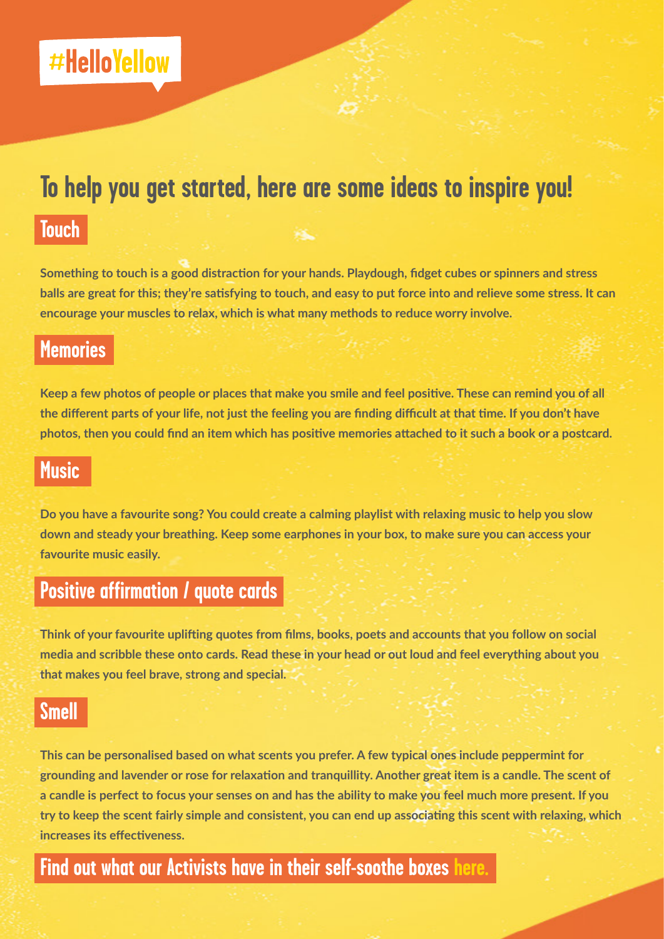### **To help you get started, here are some ideas to inspire you!**

#### **Touch**

**Something to touch is a good distraction for your hands. Playdough, fidget cubes or spinners and stress balls are great for this; they're satisfying to touch, and easy to put force into and relieve some stress. It can encourage your muscles to relax, which is what many methods to reduce worry involve.**

#### **Memories**

**Keep a few photos of people or places that make you smile and feel positive. These can remind you of all the different parts of your life, not just the feeling you are finding difficult at that time. If you don't have photos, then you could find an item which has positive memories attached to it such a book or a postcard.**

#### **Music**

**Do you have a favourite song? You could create a calming playlist with relaxing music to help you slow down and steady your breathing. Keep some earphones in your box, to make sure you can access your favourite music easily.**

#### **Positive affirmation / quote cards**

**Think of your favourite uplifting quotes from films, books, poets and accounts that you follow on social media and scribble these onto cards. Read these in your head or out loud and feel everything about you that makes you feel brave, strong and special.**

#### **Smell**

**This can be personalised based on what scents you prefer. A few typical ones include peppermint for grounding and lavender or rose for relaxation and tranquillity. Another great item is a candle. The scent of a candle is perfect to focus your senses on and has the ability to make you feel much more present. If you try to keep the scent fairly simple and consistent, you can end up associating this scent with relaxing, which increases its effectiveness.**

#### **Find out what our Activists have in their self-soothe boxes [here.](https://www.youtube.com/watch?v=TTYlS3u3A_E&t=24s)**